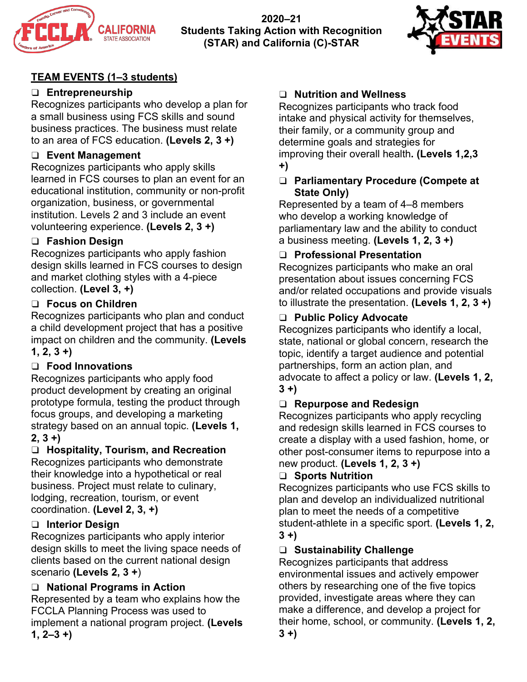

**2020–21 Students Taking Action with Recognition (STAR) and California (C)-STAR**



# **TEAM EVENTS (1–3 students)**

# ❑ **Entrepreneurship**

Recognizes participants who develop a plan for a small business using FCS skills and sound business practices. The business must relate to an area of FCS education. **(Levels 2, 3 +)**

# ❑ **Event Management**

Recognizes participants who apply skills learned in FCS courses to plan an event for an educational institution, community or non-profit organization, business, or governmental institution. Levels 2 and 3 include an event volunteering experience. **(Levels 2, 3 +)**

# ❑ **Fashion Design**

Recognizes participants who apply fashion design skills learned in FCS courses to design and market clothing styles with a 4-piece collection. **(Level 3, +)**

# ❑ **Focus on Children**

Recognizes participants who plan and conduct a child development project that has a positive impact on children and the community. **(Levels 1, 2, 3 +)**

# ❑ **Food Innovations**

Recognizes participants who apply food product development by creating an original prototype formula, testing the product through focus groups, and developing a marketing strategy based on an annual topic. **(Levels 1, 2, 3 +)**

# ❑ **Hospitality, Tourism, and Recreation**

Recognizes participants who demonstrate their knowledge into a hypothetical or real business. Project must relate to culinary, lodging, recreation, tourism, or event coordination. **(Level 2, 3, +)**

# ❑ **Interior Design**

Recognizes participants who apply interior design skills to meet the living space needs of clients based on the current national design scenario **(Levels 2, 3 +**)

# ❑ **National Programs in Action**

Represented by a team who explains how the FCCLA Planning Process was used to implement a national program project. **(Levels 1, 2–3 +)**

# ❑ **Nutrition and Wellness**

Recognizes participants who track food intake and physical activity for themselves, their family, or a community group and determine goals and strategies for improving their overall health**. (Levels 1,2,3 +)**

### ❑ **Parliamentary Procedure (Compete at State Only)**

Represented by a team of 4–8 members who develop a working knowledge of parliamentary law and the ability to conduct a business meeting. **(Levels 1, 2, 3 +)**

# ❑ **Professional Presentation**

Recognizes participants who make an oral presentation about issues concerning FCS and/or related occupations and provide visuals to illustrate the presentation. **(Levels 1, 2, 3 +)**

# ❑ **Public Policy Advocate**

Recognizes participants who identify a local, state, national or global concern, research the topic, identify a target audience and potential partnerships, form an action plan, and advocate to affect a policy or law. **(Levels 1, 2, 3 +)**

# ❑ **Repurpose and Redesign**

Recognizes participants who apply recycling and redesign skills learned in FCS courses to create a display with a used fashion, home, or other post-consumer items to repurpose into a new product. **(Levels 1, 2, 3 +)**

# ❑ **Sports Nutrition**

Recognizes participants who use FCS skills to plan and develop an individualized nutritional plan to meet the needs of a competitive student-athlete in a specific sport. **(Levels 1, 2, 3 +)**

# ❑ **Sustainability Challenge**

Recognizes participants that address environmental issues and actively empower others by researching one of the five topics provided, investigate areas where they can make a difference, and develop a project for their home, school, or community. **(Levels 1, 2, 3 +)**